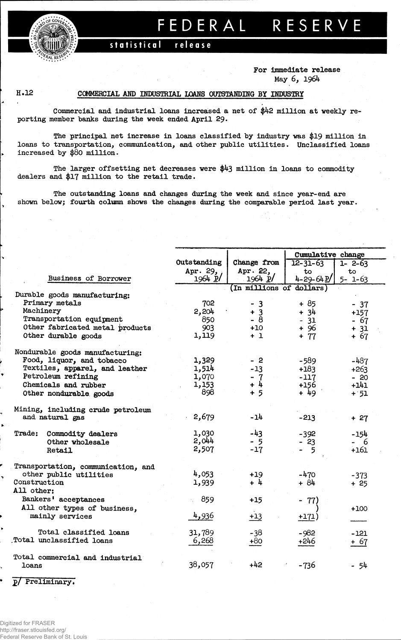

# FEDERAL RESERVE

#### statistical release

### **For Immediate release May 6, 1964**

# **H.12 COMMERCIAL AMD INDUSTRIAL LOANS OUTSTANDING BY INDUSTRY**

**Commercial and industrial loans increased a net of \$42 million at weekly reporting member banks during the week ended April 29.**

**The principal net increase in loans classified by industry was \$19 million in loans to transportation, communication, and other public utilities. Unclassified loans increased by \$80 million.**

**The larger offsetting net decreases were \$43 million in loans to commodity dealers and \$17 million to the retail trade.**

**The outstanding loans and changes during the week and since year-end are shown below; fourth column shows the changes during the comparable period last year.**

|                                                      |              |                          | Cumulative change |                       |  |  |  |  |
|------------------------------------------------------|--------------|--------------------------|-------------------|-----------------------|--|--|--|--|
|                                                      | Outstanding  | Change from              | $12 - 31 - 63$    | $\overline{1}$ - 2-63 |  |  |  |  |
|                                                      | Apr. 29,     | Apr. 22,                 | to                | to                    |  |  |  |  |
| Business of Borrower                                 | $1964$ $p/$  | 1964 p                   | $4 - 29 - 64P$    | $5 - 1 - 63$          |  |  |  |  |
|                                                      |              | (In millions of dollars) |                   |                       |  |  |  |  |
| Durable goods manufacturing:<br>Primary metals       |              |                          |                   |                       |  |  |  |  |
| Machinery                                            | 702<br>2,204 | $-3$                     | $+85$             | $-37$                 |  |  |  |  |
| Transportation equipment                             | 850          | $+3$<br>$-8$             | $+34$             | $+157$                |  |  |  |  |
| Other fabricated metal products                      | 903          | $+10$                    | $-31$             | - 67                  |  |  |  |  |
| Other durable goods                                  | 1,119        | $+1$                     | + 96<br>$+ 77$    | $+ 31$                |  |  |  |  |
|                                                      |              |                          |                   | $+67$                 |  |  |  |  |
| Nondurable goods manufacturing:                      |              |                          |                   |                       |  |  |  |  |
| Food, liquor, and tobacco                            | 1,329        | - 2                      | $-589$            | $-487$                |  |  |  |  |
| Textiles, apparel, and leather                       | 1,514        | $-13$                    | $+183$            | $+263$                |  |  |  |  |
| Petroleum refining                                   | 1,070        | $-7$                     | $-117$            | $-20$                 |  |  |  |  |
| Chemicals and rubber                                 | 1,153        | $+ 4$                    | $+156$            | $+141$                |  |  |  |  |
| Other nondurable goods                               | 898          | $+5$                     | $+49$             | $+ 51$                |  |  |  |  |
|                                                      |              |                          |                   |                       |  |  |  |  |
| Mining, including crude petroleum<br>and natural gas | 2,679        | $-14$                    | $-213$            | $+27$                 |  |  |  |  |
|                                                      |              |                          |                   |                       |  |  |  |  |
| Trade: Commodity dealers                             | 1,030        | $-43$                    | $-392$            | -154                  |  |  |  |  |
| Other wholesale                                      | 2,044        | $-5$                     | $-23$             | - 6                   |  |  |  |  |
| Retail                                               | 2,507        | $-17$                    | -5                | $+161$                |  |  |  |  |
|                                                      |              |                          |                   |                       |  |  |  |  |
| Transportation, communication, and                   |              |                          |                   |                       |  |  |  |  |
| other public utilities                               | 4,053        | $+19$                    | $-470$            | $-373$                |  |  |  |  |
| Construction                                         | 1,939        | $+4$                     | $+ 84$            | $+25$                 |  |  |  |  |
| All other:                                           |              |                          |                   |                       |  |  |  |  |
| Bankers' acceptances                                 | 859          | $+15$                    | - 77)             |                       |  |  |  |  |
| All other types of business,                         |              |                          |                   | $+100$                |  |  |  |  |
| mainly services                                      | 4,936        | $+13$                    | $+171)$           |                       |  |  |  |  |
| Total classified loans                               | 31,789       | $-38$                    | $-982$            | $-121$                |  |  |  |  |
| Total unclassified loans                             | 6,268        | $+80$                    | $+246$            | $+ 67$                |  |  |  |  |
|                                                      |              |                          |                   |                       |  |  |  |  |
| Total commercial and industrial                      |              |                          |                   |                       |  |  |  |  |
| loans                                                | 38,057       | $+42$                    | -736              | - 54                  |  |  |  |  |
|                                                      |              |                          |                   |                       |  |  |  |  |

**2/ Preliminary.**